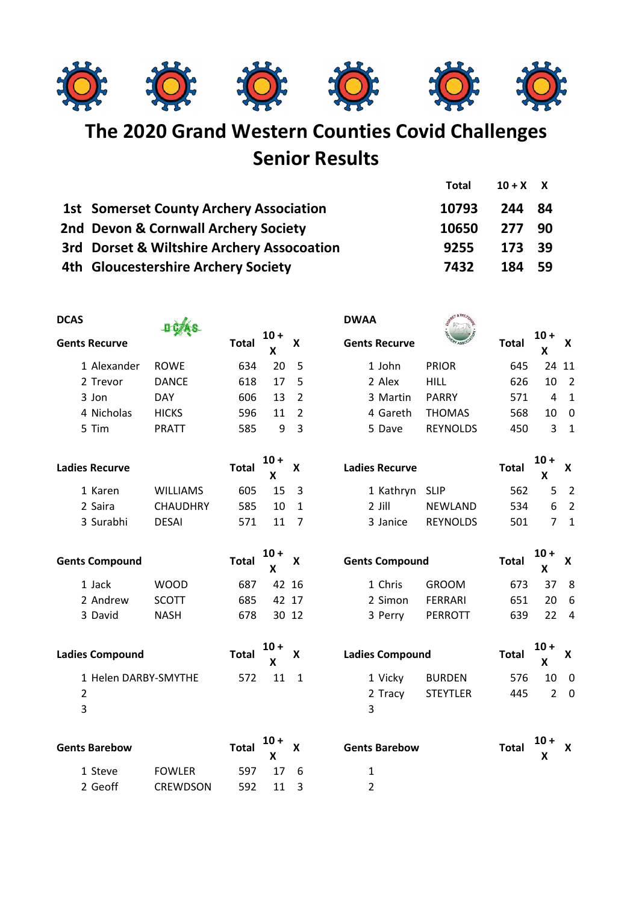

**The 2020 Grand Western Counties Covid Challenges Senior Results**

|                                                | Total | $10+X$ X |  |
|------------------------------------------------|-------|----------|--|
| <b>1st Somerset County Archery Association</b> | 10793 | 244 84   |  |
| 2nd Devon & Cornwall Archery Society           | 10650 | 277 90   |  |
| 3rd Dorset & Wiltshire Archery Assocoation     | 9255  | 173 39   |  |
| 4th Gloucestershire Archery Society            | 7432  | 184 59   |  |

| <b>DCAS</b>            |                       |                 |              |             |                           | <b>DWAA</b>           |                 |              |                |                |
|------------------------|-----------------------|-----------------|--------------|-------------|---------------------------|-----------------------|-----------------|--------------|----------------|----------------|
|                        | <b>Gents Recurve</b>  |                 | <b>Total</b> | 10 +<br>X   | $\boldsymbol{\mathsf{x}}$ | <b>Gents Recurve</b>  |                 | <b>Total</b> | $10 +$<br>X    | X              |
|                        | 1 Alexander           | <b>ROWE</b>     | 634          | 20          | 5                         | 1 John                | <b>PRIOR</b>    | 645          | 24             | 11             |
|                        | 2 Trevor              | <b>DANCE</b>    | 618          | 17          | 5                         | 2 Alex                | HILL            | 626          | 10             | $\overline{2}$ |
|                        | 3 Jon                 | <b>DAY</b>      | 606          | 13          | $\overline{2}$            | 3 Martin              | <b>PARRY</b>    | 571          | $\overline{4}$ | $\mathbf{1}$   |
|                        | 4 Nicholas            | <b>HICKS</b>    | 596          | 11          | $\overline{2}$            | 4 Gareth              | <b>THOMAS</b>   | 568          | 10             | $\mathbf 0$    |
|                        | 5 Tim                 | <b>PRATT</b>    | 585          | 9           | $\overline{3}$            | 5 Dave                | <b>REYNOLDS</b> | 450          | 3              | $\mathbf{1}$   |
|                        | <b>Ladies Recurve</b> |                 | <b>Total</b> | $10 +$<br>X | X                         | <b>Ladies Recurve</b> |                 | <b>Total</b> | $10 +$<br>X    | X              |
|                        | 1 Karen               | <b>WILLIAMS</b> | 605          | 15          | 3                         | 1 Kathryn             | <b>SLIP</b>     | 562          | 5              | $\overline{2}$ |
|                        | 2 Saira               | <b>CHAUDHRY</b> | 585          | 10          | $\mathbf{1}$              | $2$ Jill              | <b>NEWLAND</b>  | 534          | 6              | $\overline{2}$ |
|                        | 3 Surabhi             | <b>DESAI</b>    | 571          | 11          | $\overline{7}$            | 3 Janice              | <b>REYNOLDS</b> | 501          | $\overline{7}$ | $\mathbf{1}$   |
| <b>Gents Compound</b>  |                       | <b>Total</b>    | $10 +$<br>X  | X           | <b>Gents Compound</b>     |                       | <b>Total</b>    | $10+$<br>X   | X              |                |
|                        | 1 Jack                | <b>WOOD</b>     | 687          |             | 42 16                     | 1 Chris               | <b>GROOM</b>    | 673          | 37             | 8              |
|                        | 2 Andrew              | <b>SCOTT</b>    | 685          |             | 42 17                     | 2 Simon               | <b>FERRARI</b>  | 651          | 20             | 6              |
|                        | 3 David               | <b>NASH</b>     | 678          |             | 30 12                     | 3 Perry               | <b>PERROTT</b>  | 639          | 22             | $\overline{4}$ |
| <b>Ladies Compound</b> |                       | <b>Total</b>    | 10 +<br>X    | X           | <b>Ladies Compound</b>    |                       | <b>Total</b>    | $10 +$<br>X  | X              |                |
|                        | 1 Helen DARBY-SMYTHE  |                 | 572          | 11          | $\mathbf{1}$              | 1 Vicky               | <b>BURDEN</b>   | 576          | 10             | $\mathbf 0$    |
| $\overline{2}$         |                       |                 |              |             |                           | 2 Tracy               | <b>STEYTLER</b> | 445          | $\overline{2}$ | $\overline{0}$ |
| 3                      |                       |                 |              |             |                           | 3                     |                 |              |                |                |
|                        | <b>Gents Barebow</b>  |                 | <b>Total</b> | $10 +$<br>X | X                         | <b>Gents Barebow</b>  |                 | <b>Total</b> | $10 +$<br>X    | X              |
|                        | 1 Steve               | <b>FOWLER</b>   | 597          | 17          | 6                         | $\mathbf{1}$          |                 |              |                |                |

2 Geoff CREWDSON 592 11 3 2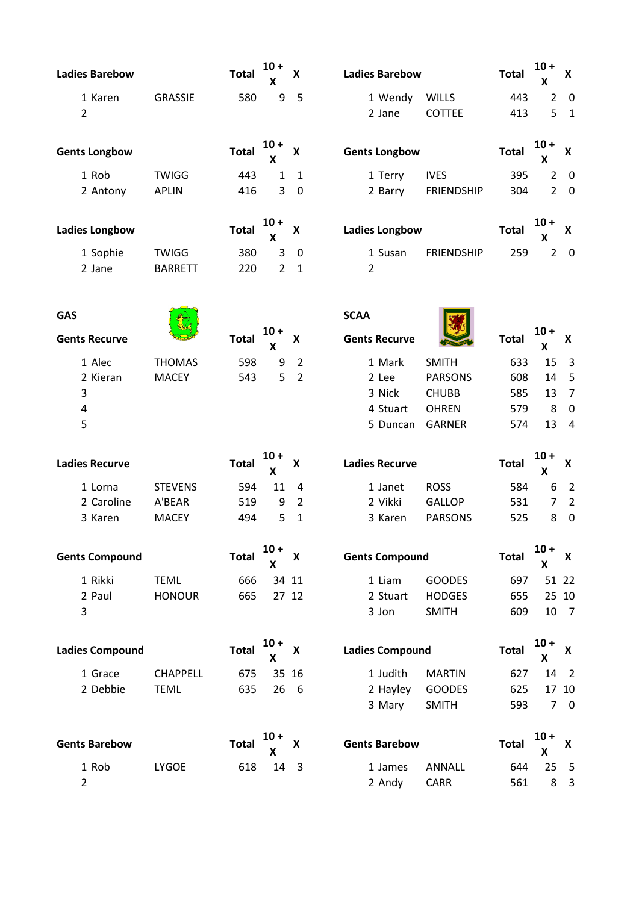|                        | <b>Ladies Barebow</b>     |                 | Total        | $10 +$<br>x               | X                      | <b>Ladies Barebow</b> |                        | <b>Total</b> | $10 +$<br>X                  | X                           |
|------------------------|---------------------------|-----------------|--------------|---------------------------|------------------------|-----------------------|------------------------|--------------|------------------------------|-----------------------------|
|                        | 1 Karen<br>$\overline{2}$ | <b>GRASSIE</b>  | 580          | 9                         | 5                      | 1 Wendy<br>2 Jane     | WILLS<br><b>COTTEE</b> | 443<br>413   | 2<br>5                       | $\mathbf 0$<br>$\mathbf{1}$ |
|                        | <b>Gents Longbow</b>      |                 | <b>Total</b> | $10 +$<br>X               | X                      | <b>Gents Longbow</b>  |                        | <b>Total</b> | $10 +$<br>X                  | X                           |
|                        | 1 Rob                     | <b>TWIGG</b>    | 443          | $\mathbf{1}$              | $\mathbf{1}$           | 1 Terry               | <b>IVES</b>            | 395          | $\overline{2}$               | $\overline{0}$              |
|                        | 2 Antony                  | <b>APLIN</b>    | 416          | 3                         | $\mathbf 0$            | 2 Barry               | <b>FRIENDSHIP</b>      | 304          | $\overline{2}$               | $\overline{0}$              |
| <b>Ladies Longbow</b>  |                           | <b>Total</b>    | $10 +$<br>X  | X                         | <b>Ladies Longbow</b>  |                       | <b>Total</b>           | $10 +$<br>X  | X                            |                             |
|                        | 1 Sophie                  | <b>TWIGG</b>    | 380          | 3                         | 0                      | 1 Susan               | <b>FRIENDSHIP</b>      | 259          | $\overline{2}$               | $\overline{\mathbf{0}}$     |
|                        | 2 Jane                    | <b>BARRETT</b>  | 220          | $\overline{2}$            | $\mathbf{1}$           | $\overline{2}$        |                        |              |                              |                             |
| <b>GAS</b>             |                           |                 |              |                           |                        | <b>SCAA</b>           |                        |              |                              |                             |
|                        | <b>Gents Recurve</b>      |                 | <b>Total</b> | $10 +$<br>X               | X                      | <b>Gents Recurve</b>  |                        | <b>Total</b> | $10+$<br>X                   | X                           |
|                        | 1 Alec                    | <b>THOMAS</b>   | 598          | 9                         | $\overline{2}$         | 1 Mark                | <b>SMITH</b>           | 633          | 15                           | $\overline{3}$              |
|                        | 2 Kieran                  | <b>MACEY</b>    | 543          | 5                         | $\overline{2}$         | 2 Lee                 | <b>PARSONS</b>         | 608          | 14                           | 5                           |
|                        | 3                         |                 |              |                           |                        | 3 Nick                | <b>CHUBB</b>           | 585          | 13                           | $\overline{7}$              |
|                        | 4                         |                 |              |                           |                        | 4 Stuart              | <b>OHREN</b>           | 579          | 8                            | $\mathbf 0$                 |
|                        | 5                         |                 |              |                           |                        | 5 Duncan              | <b>GARNER</b>          | 574          | 13                           | $\overline{4}$              |
|                        | <b>Ladies Recurve</b>     |                 | Total        | $10 +$<br>X               | X                      | <b>Ladies Recurve</b> |                        | <b>Total</b> | $10 +$<br>$\pmb{\mathsf{X}}$ | $\pmb{\mathsf{x}}$          |
|                        | 1 Lorna                   | <b>STEVENS</b>  | 594          | 11                        | 4                      | 1 Janet               | <b>ROSS</b>            | 584          | 6                            | $\overline{2}$              |
|                        | 2 Caroline                | A'BEAR          | 519          | 9                         | $\overline{2}$         | 2 Vikki               | <b>GALLOP</b>          | 531          | 7                            | $\overline{2}$              |
|                        | 3 Karen                   | <b>MACEY</b>    | 494          | 5                         | $\mathbf{1}$           | 3 Karen               | <b>PARSONS</b>         | 525          | 8                            | $\pmb{0}$                   |
| <b>Gents Compound</b>  |                           | <b>Total</b>    | $10 +$<br>x  | X                         | <b>Gents Compound</b>  |                       | <b>Total</b>           | $10+$<br>X   | X                            |                             |
|                        | 1 Rikki                   | <b>TEML</b>     | 666          | 34 11                     |                        | 1 Liam                | <b>GOODES</b>          | 697          |                              | 51 22                       |
|                        | 2 Paul                    | <b>HONOUR</b>   | 665          | 27 12                     |                        | 2 Stuart              | <b>HODGES</b>          | 655          |                              | 25 10                       |
|                        | 3                         |                 |              |                           |                        | 3 Jon                 | <b>SMITH</b>           | 609          | 10                           | $\overline{7}$              |
| <b>Ladies Compound</b> |                           | <b>Total</b>    | $10 +$<br>X  | $\boldsymbol{\mathsf{x}}$ | <b>Ladies Compound</b> |                       | <b>Total</b>           | $10 +$<br>X  | $\pmb{\mathsf{X}}$           |                             |
|                        | 1 Grace                   | <b>CHAPPELL</b> | 675          | 35 16                     |                        | 1 Judith              | <b>MARTIN</b>          | 627          | 14                           | $\overline{2}$              |
|                        | 2 Debbie                  | <b>TEML</b>     | 635          | 26                        | - 6                    | 2 Hayley              | <b>GOODES</b>          | 625          |                              | 17 10                       |
|                        |                           |                 |              |                           |                        | 3 Mary                | <b>SMITH</b>           | 593          |                              | 70                          |
| <b>Gents Barebow</b>   |                           | <b>Total</b>    | $10 +$<br>x  | X                         | <b>Gents Barebow</b>   |                       | <b>Total</b>           | $10 +$<br>X  | X                            |                             |
|                        | 1 Rob                     | LYGOE           | 618          | 14 3                      |                        | 1 James               | <b>ANNALL</b>          | 644          | 25                           | $\overline{5}$              |
|                        | $\overline{2}$            |                 |              |                           |                        | 2 Andy                | <b>CARR</b>            | 561          | 8                            | $\mathbf{3}$                |